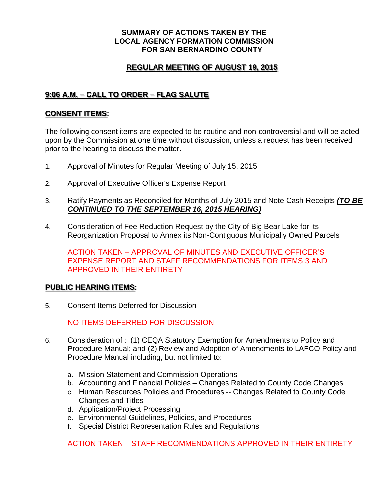### **SUMMARY OF ACTIONS TAKEN BY THE LOCAL AGENCY FORMATION COMMISSION FOR SAN BERNARDINO COUNTY**

# **REGULAR MEETING OF AUGUST 19, 2015**

# **9:06 A.M. – CALL TO ORDER – FLAG SALUTE**

### **CONSENT ITEMS:**

The following consent items are expected to be routine and non-controversial and will be acted upon by the Commission at one time without discussion, unless a request has been received prior to the hearing to discuss the matter.

- 1. Approval of Minutes for Regular Meeting of July 15, 2015
- 2. Approval of Executive Officer's Expense Report
- 3. Ratify Payments as Reconciled for Months of July 2015 and Note Cash Receipts *(TO BE CONTINUED TO THE SEPTEMBER 16, 2015 HEARING)*
- 4. Consideration of Fee Reduction Request by the City of Big Bear Lake for its Reorganization Proposal to Annex its Non-Contiguous Municipally Owned Parcels

ACTION TAKEN – APPROVAL OF MINUTES AND EXECUTIVE OFFICER'S EXPENSE REPORT AND STAFF RECOMMENDATIONS FOR ITEMS 3 AND APPROVED IN THEIR ENTIRETY

#### **PUBLIC HEARING ITEMS:**

5. Consent Items Deferred for Discussion

NO ITEMS DEFERRED FOR DISCUSSION

- 6. Consideration of : (1) CEQA Statutory Exemption for Amendments to Policy and Procedure Manual; and (2) Review and Adoption of Amendments to LAFCO Policy and Procedure Manual including, but not limited to:
	- a. Mission Statement and Commission Operations
	- b. Accounting and Financial Policies Changes Related to County Code Changes
	- c. Human Resources Policies and Procedures -- Changes Related to County Code Changes and Titles
	- d. Application/Project Processing
	- e. Environmental Guidelines, Policies, and Procedures
	- f. Special District Representation Rules and Regulations

ACTION TAKEN – STAFF RECOMMENDATIONS APPROVED IN THEIR ENTIRETY